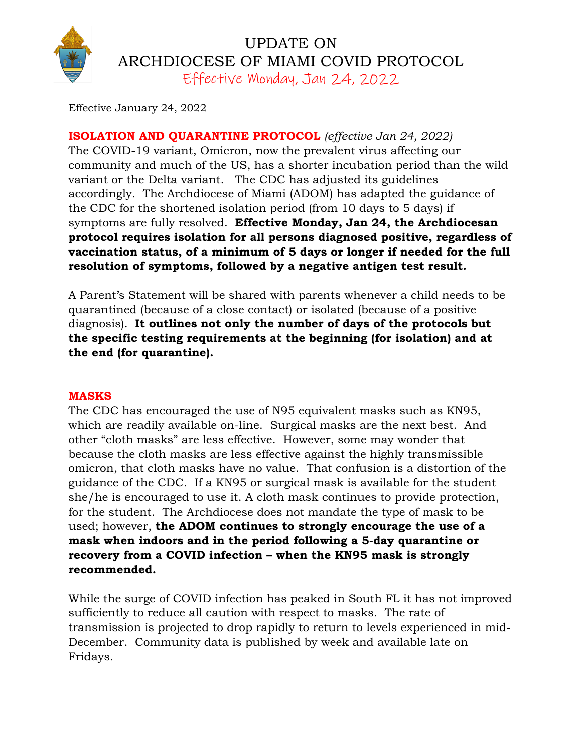

## UPDATE ON ARCHDIOCESE OF MIAMI COVID PROTOCOL Effective Monday, Jan 24, 2022

Effective January 24, 2022

**ISOLATION AND QUARANTINE PROTOCOL** *(effective Jan 24, 2022)* The COVID-19 variant, Omicron, now the prevalent virus affecting our community and much of the US, has a shorter incubation period than the wild variant or the Delta variant. The CDC has adjusted its guidelines accordingly. The Archdiocese of Miami (ADOM) has adapted the guidance of the CDC for the shortened isolation period (from 10 days to 5 days) if symptoms are fully resolved. **Effective Monday, Jan 24, the Archdiocesan protocol requires isolation for all persons diagnosed positive, regardless of vaccination status, of a minimum of 5 days or longer if needed for the full resolution of symptoms, followed by a negative antigen test result.**

A Parent's Statement will be shared with parents whenever a child needs to be quarantined (because of a close contact) or isolated (because of a positive diagnosis). **It outlines not only the number of days of the protocols but the specific testing requirements at the beginning (for isolation) and at the end (for quarantine).**

## **MASKS**

The CDC has encouraged the use of N95 equivalent masks such as KN95, which are readily available on-line. Surgical masks are the next best. And other "cloth masks" are less effective. However, some may wonder that because the cloth masks are less effective against the highly transmissible omicron, that cloth masks have no value. That confusion is a distortion of the guidance of the CDC. If a KN95 or surgical mask is available for the student she/he is encouraged to use it. A cloth mask continues to provide protection, for the student. The Archdiocese does not mandate the type of mask to be used; however, **the ADOM continues to strongly encourage the use of a mask when indoors and in the period following a 5-day quarantine or recovery from a COVID infection – when the KN95 mask is strongly recommended.**

While the surge of COVID infection has peaked in South FL it has not improved sufficiently to reduce all caution with respect to masks. The rate of transmission is projected to drop rapidly to return to levels experienced in mid-December. Community data is published by week and available late on Fridays.